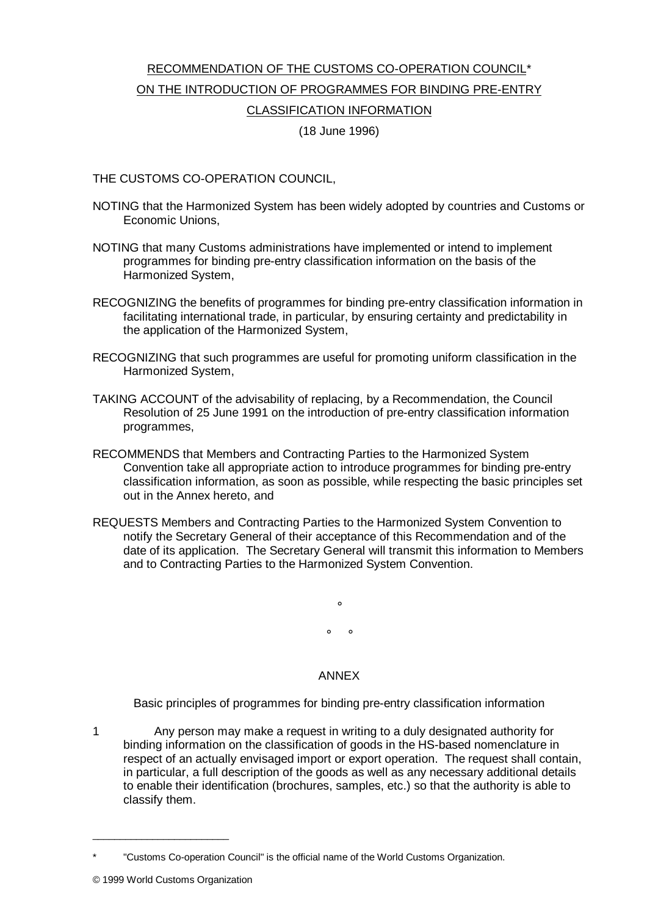## RECOMMENDATION OF THE CUSTOMS CO-OPERATION COUNCIL\* ON THE INTRODUCTION OF PROGRAMMES FOR BINDING PRE-ENTRY CLASSIFICATION INFORMATION

## (18 June 1996)

## THE CUSTOMS CO-OPERATION COUNCIL,

- NOTING that the Harmonized System has been widely adopted by countries and Customs or Economic Unions,
- NOTING that many Customs administrations have implemented or intend to implement programmes for binding pre-entry classification information on the basis of the Harmonized System,
- RECOGNIZING the benefits of programmes for binding pre-entry classification information in facilitating international trade, in particular, by ensuring certainty and predictability in the application of the Harmonized System,
- RECOGNIZING that such programmes are useful for promoting uniform classification in the Harmonized System,
- TAKING ACCOUNT of the advisability of replacing, by a Recommendation, the Council Resolution of 25 June 1991 on the introduction of pre-entry classification information programmes,
- RECOMMENDS that Members and Contracting Parties to the Harmonized System Convention take all appropriate action to introduce programmes for binding pre-entry classification information, as soon as possible, while respecting the basic principles set out in the Annex hereto, and
- REQUESTS Members and Contracting Parties to the Harmonized System Convention to notify the Secretary General of their acceptance of this Recommendation and of the date of its application. The Secretary General will transmit this information to Members and to Contracting Parties to the Harmonized System Convention.

 $\circ$  $\circ$   $\circ$ 

## ANNEX

Basic principles of programmes for binding pre-entry classification information

1 Any person may make a request in writing to a duly designated authority for binding information on the classification of goods in the HS-based nomenclature in respect of an actually envisaged import or export operation. The request shall contain, in particular, a full description of the goods as well as any necessary additional details to enable their identification (brochures, samples, etc.) so that the authority is able to classify them.

\_\_\_\_\_\_\_\_\_\_\_\_\_\_\_\_\_\_\_\_\_\_\_\_\_

<sup>\*</sup> "Customs Co-operation Council" is the official name of the World Customs Organization.